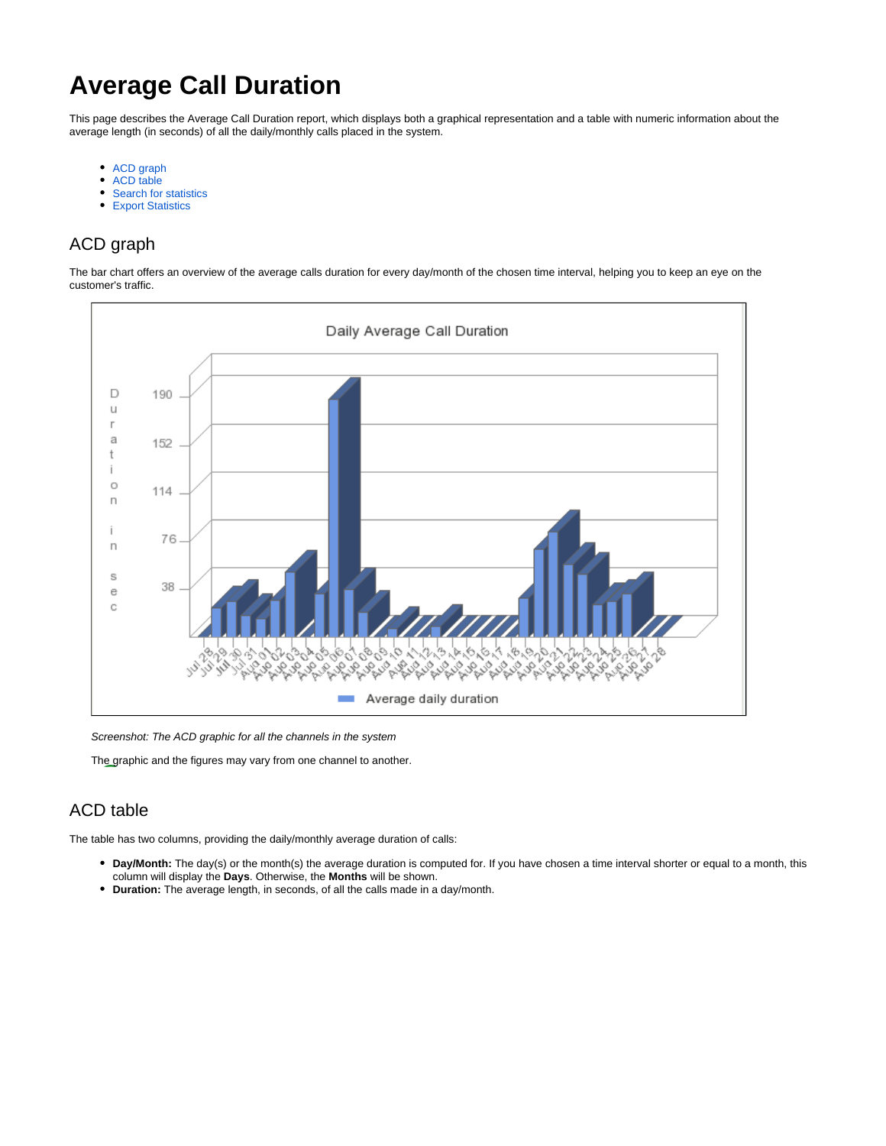# **Average Call Duration**

This page describes the Average Call Duration report, which displays both a graphical representation and a table with numeric information about the average length (in seconds) of all the daily/monthly calls placed in the system.

- $\bullet$ [ACD graph](#page-0-0)
- $\bullet$ [ACD table](#page-0-1)
- [Search for statistics](#page-1-0)
- **[Export Statistics](#page-1-1)**

# <span id="page-0-0"></span>ACD graph

The bar chart offers an overview of the average calls duration for every day/month of the chosen time interval, helping you to keep an eye on the customer's traffic.



Screenshot: The ACD graphic for all the channels in the system

The graphic and the figures may vary from one channel to another.

# <span id="page-0-1"></span>ACD table

The table has two columns, providing the daily/monthly average duration of calls:

- **Day/Month:** The day(s) or the month(s) the average duration is computed for. If you have chosen a time interval shorter or equal to a month, this column will display the **Days**. Otherwise, the **Months** will be shown.
- **Duration:** The average length, in seconds, of all the calls made in a day/month.